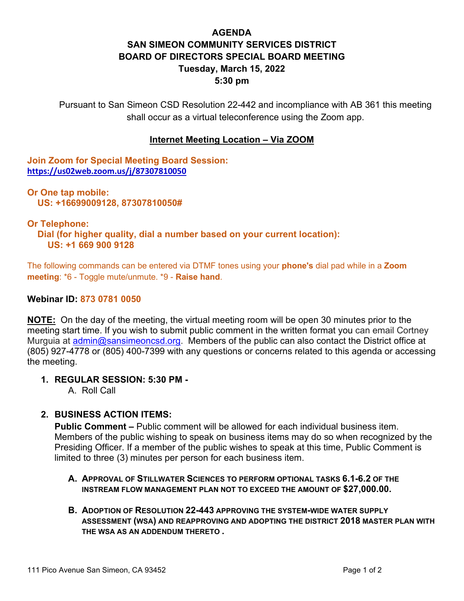# **AGENDA SAN SIMEON COMMUNITY SERVICES DISTRICT BOARD OF DIRECTORS SPECIAL BOARD MEETING Tuesday, March 15, 2022 5:30 pm**

Pursuant to San Simeon CSD Resolution 22-442 and incompliance with AB 361 this meeting shall occur as a virtual teleconference using the Zoom app.

### **Internet Meeting Location – Via ZOOM**

**Join Zoom for Special Meeting Board Session: <https://us02web.zoom.us/j/87307810050>**

**Or One tap mobile: US: +16699009128, 87307810050#** 

#### **Or Telephone:**

 **Dial (for higher quality, dial a number based on your current location): US: +1 669 900 9128** 

The following commands can be entered via DTMF tones using your **phone's** dial pad while in a **Zoom meeting**: \*6 - Toggle mute/unmute. \*9 - **Raise hand**.

#### **Webinar ID: 873 0781 0050**

**NOTE:** On the day of the meeting, the virtual meeting room will be open 30 minutes prior to the meeting start time. If you wish to submit public comment in the written format you can email Cortney Murguia at *admin@sansimeoncsd.org*. Members of the public can also contact the District office at (805) 927-4778 or (805) 400-7399 with any questions or concerns related to this agenda or accessing the meeting.

### **1. REGULAR SESSION: 5:30 PM -**

A. Roll Call

### **2. BUSINESS ACTION ITEMS:**

**Public Comment –** Public comment will be allowed for each individual business item. Members of the public wishing to speak on business items may do so when recognized by the Presiding Officer. If a member of the public wishes to speak at this time, Public Comment is limited to three (3) minutes per person for each business item.

- **A. APPROVAL OF STILLWATER SCIENCES TO PERFORM OPTIONAL TASKS 6.1-6.2 OF THE INSTREAM FLOW MANAGEMENT PLAN NOT TO EXCEED THE AMOUNT OF \$27,000.00.**
- **B. ADOPTION OF RESOLUTION 22-443 APPROVING THE SYSTEM-WIDE WATER SUPPLY ASSESSMENT (WSA) AND REAPPROVING AND ADOPTING THE DISTRICT 2018 MASTER PLAN WITH THE WSA AS AN ADDENDUM THERETO .**